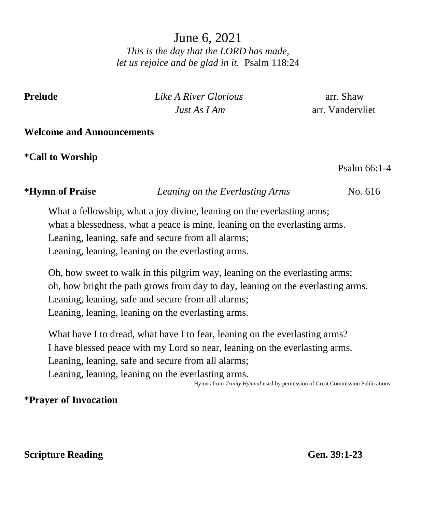June 6, 2021 *This is the day that the LORD has made, let us rejoice and be glad in it.* Psalm 118:24

**Prelude** *Like A River Glorious* arr. Shaw *Just As I Am* arr. Vandervliet

#### **Welcome and Announcements**

**\*Call to Worship** 

Psalm 66:1-4

#### **\*Hymn of Praise** *Leaning on the Everlasting Arms* No. 616

What a fellowship, what a joy divine, leaning on the everlasting arms; what a blessedness, what a peace is mine, leaning on the everlasting arms. Leaning, leaning, safe and secure from all alarms; Leaning, leaning, leaning on the everlasting arms.

Oh, how sweet to walk in this pilgrim way, leaning on the everlasting arms; oh, how bright the path grows from day to day, leaning on the everlasting arms. Leaning, leaning, safe and secure from all alarms; Leaning, leaning, leaning on the everlasting arms.

What have I to dread, what have I to fear, leaning on the everlasting arms? I have blessed peace with my Lord so near, leaning on the everlasting arms. Leaning, leaning, safe and secure from all alarms; Leaning, leaning, leaning on the everlasting arms.

Hymns from *Trinity Hymnal* used by permission of Great Commission Publications.

# **\*Prayer of Invocation**

### **Scripture Reading Gen.** 39:1-23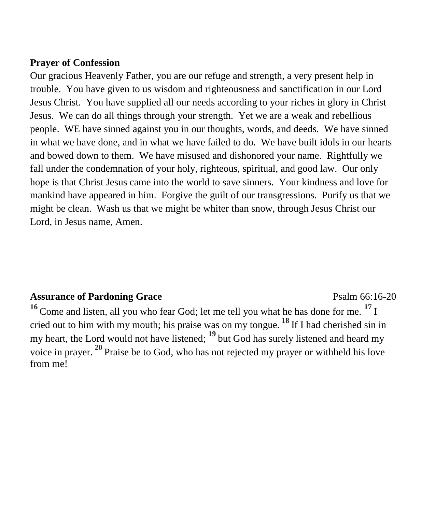#### **Prayer of Confession**

Our gracious Heavenly Father, you are our refuge and strength, a very present help in trouble. You have given to us wisdom and righteousness and sanctification in our Lord Jesus Christ. You have supplied all our needs according to your riches in glory in Christ Jesus. We can do all things through your strength. Yet we are a weak and rebellious people. WE have sinned against you in our thoughts, words, and deeds. We have sinned in what we have done, and in what we have failed to do. We have built idols in our hearts and bowed down to them. We have misused and dishonored your name. Rightfully we fall under the condemnation of your holy, righteous, spiritual, and good law. Our only hope is that Christ Jesus came into the world to save sinners. Your kindness and love for mankind have appeared in him. Forgive the guilt of our transgressions. Purify us that we might be clean. Wash us that we might be whiter than snow, through Jesus Christ our Lord, in Jesus name, Amen.

# Assurance of Pardoning Grace **Property** Psalm 66:16-20

**16** Come and listen, all you who fear God; let me tell you what he has done for me. **<sup>17</sup>** I cried out to him with my mouth; his praise was on my tongue. **<sup>18</sup>** If I had cherished sin in my heart, the Lord would not have listened; **<sup>19</sup>**but God has surely listened and heard my voice in prayer. **<sup>20</sup>** Praise be to God, who has not rejected my prayer or withheld his love from me!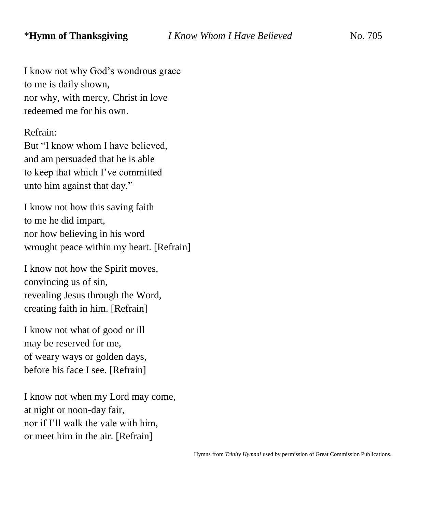I know not why God's wondrous grace to me is daily shown, nor why, with mercy, Christ in love redeemed me for his own.

Refrain:

But "I know whom I have believed, and am persuaded that he is able to keep that which I've committed unto him against that day."

I know not how this saving faith to me he did impart, nor how believing in his word wrought peace within my heart. [Refrain]

I know not how the Spirit moves, convincing us of sin, revealing Jesus through the Word, creating faith in him. [Refrain]

I know not what of good or ill may be reserved for me, of weary ways or golden days, before his face I see. [Refrain]

I know not when my Lord may come, at night or noon-day fair, nor if I'll walk the vale with him, or meet him in the air. [Refrain]

Hymns from *Trinity Hymnal* used by permission of Great Commission Publications.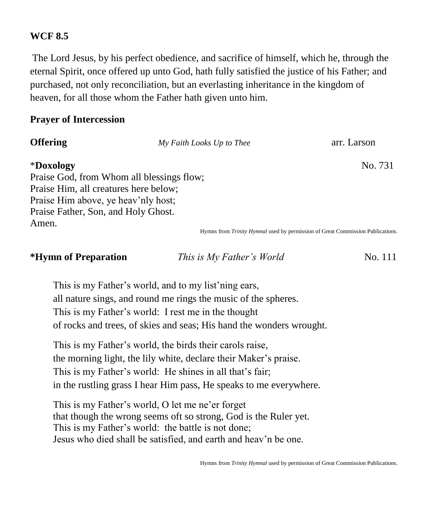#### **WCF 8.5**

The Lord Jesus, by his perfect obedience, and sacrifice of himself, which he, through the eternal Spirit, once offered up unto God, hath fully satisfied the justice of his Father; and purchased, not only reconciliation, but an everlasting inheritance in the kingdom of heaven, for all those whom the Father hath given unto him.

#### **Prayer of Intercession**

| <b>Offering</b>                       | My Faith Looks Up to Thee                 | arr. Larson                                                                    |
|---------------------------------------|-------------------------------------------|--------------------------------------------------------------------------------|
| *Doxology                             |                                           | No. 731                                                                        |
|                                       | Praise God, from Whom all blessings flow; |                                                                                |
| Praise Him, all creatures here below; |                                           |                                                                                |
| Praise Him above, ye heav'nly host;   |                                           |                                                                                |
| Praise Father, Son, and Holy Ghost.   |                                           |                                                                                |
| Amen.                                 |                                           |                                                                                |
|                                       |                                           | Hymns from Trinity Hymnal used by permission of Great Commission Publications. |

#### **\*Hymn of Preparation** *This is My Father's World* No. 111

This is my Father's world, and to my list'ning ears, all nature sings, and round me rings the music of the spheres. This is my Father's world: I rest me in the thought of rocks and trees, of skies and seas; His hand the wonders wrought.

This is my Father's world, the birds their carols raise, the morning light, the lily white, declare their Maker's praise. This is my Father's world: He shines in all that's fair; in the rustling grass I hear Him pass, He speaks to me everywhere.

This is my Father's world, O let me ne'er forget that though the wrong seems oft so strong, God is the Ruler yet. This is my Father's world: the battle is not done; Jesus who died shall be satisfied, and earth and heav'n be one.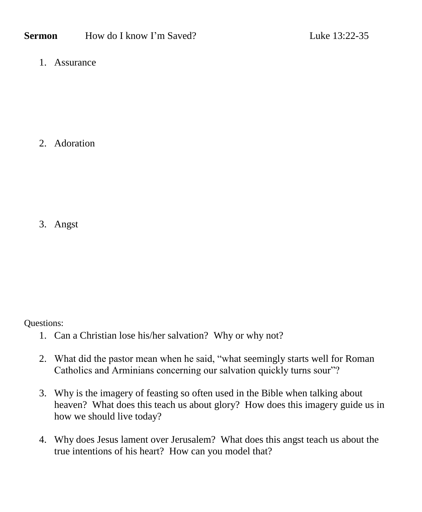1. Assurance

2. Adoration

3. Angst

Questions:

- 1. Can a Christian lose his/her salvation? Why or why not?
- 2. What did the pastor mean when he said, "what seemingly starts well for Roman Catholics and Arminians concerning our salvation quickly turns sour"?
- 3. Why is the imagery of feasting so often used in the Bible when talking about heaven? What does this teach us about glory? How does this imagery guide us in how we should live today?
- 4. Why does Jesus lament over Jerusalem? What does this angst teach us about the true intentions of his heart? How can you model that?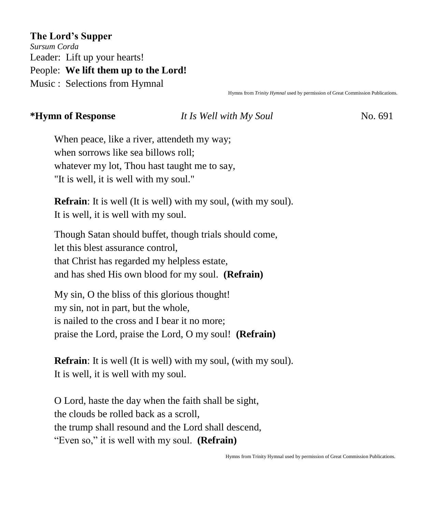**The Lord's Supper** *Sursum Corda* Leader: Lift up your hearts! People: **We lift them up to the Lord!** Music : Selections from Hymnal

Hymns from *Trinity Hymnal* used by permission of Great Commission Publications.

#### **\*Hymn of Response** *It Is Well with My Soul* No. 691

When peace, like a river, attendeth my way; when sorrows like sea billows roll; whatever my lot, Thou hast taught me to say, "It is well, it is well with my soul."

**Refrain**: It is well (It is well) with my soul, (with my soul). It is well, it is well with my soul.

Though Satan should buffet, though trials should come, let this blest assurance control, that Christ has regarded my helpless estate, and has shed His own blood for my soul. **(Refrain)**

My sin, O the bliss of this glorious thought! my sin, not in part, but the whole, is nailed to the cross and I bear it no more; praise the Lord, praise the Lord, O my soul! **(Refrain)**

**Refrain**: It is well (It is well) with my soul, (with my soul). It is well, it is well with my soul.

O Lord, haste the day when the faith shall be sight, the clouds be rolled back as a scroll, the trump shall resound and the Lord shall descend, "Even so," it is well with my soul. **(Refrain)**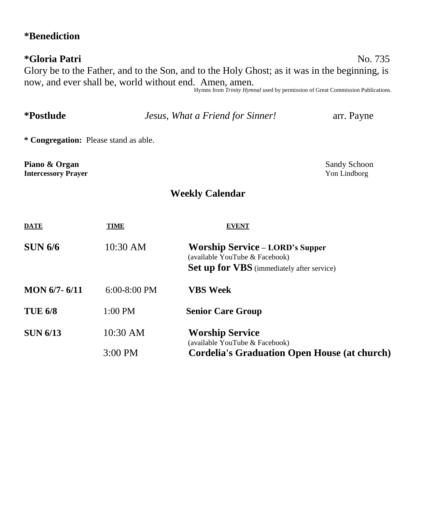# **\*Benediction**

# **\*Gloria Patri** No. 735 Glory be to the Father, and to the Son, and to the Holy Ghost; as it was in the beginning, is now, and ever shall be, world without end. Amen, amen. Hymns from *Trinity Hymnal* used by permission of Great Commission Publications.

| <i>*Postlude</i>                            |              | Jesus, What a Friend for Sinner!                                                                                              | arr. Payne                   |
|---------------------------------------------|--------------|-------------------------------------------------------------------------------------------------------------------------------|------------------------------|
| * Congregation: Please stand as able.       |              |                                                                                                                               |                              |
| Piano & Organ<br><b>Intercessory Prayer</b> |              |                                                                                                                               | Sandy Schoon<br>Yon Lindborg |
|                                             |              | <b>Weekly Calendar</b>                                                                                                        |                              |
| <b>DATE</b>                                 | TIME         | <b>EVENT</b>                                                                                                                  |                              |
| <b>SUN 6/6</b>                              | 10:30 AM     | <b>Worship Service – LORD's Supper</b><br>(available YouTube & Facebook)<br><b>Set up for VBS</b> (immediately after service) |                              |
| <b>MON 6/7-6/11</b>                         | 6:00-8:00 PM | <b>VBS</b> Week                                                                                                               |                              |
| <b>TUE 6/8</b>                              | 1:00 PM      | <b>Senior Care Group</b>                                                                                                      |                              |
| <b>SUN 6/13</b>                             | 10:30 AM     | <b>Worship Service</b><br>(available YouTube & Facebook)                                                                      |                              |
|                                             | 3:00 PM      | <b>Cordelia's Graduation Open House (at church)</b>                                                                           |                              |